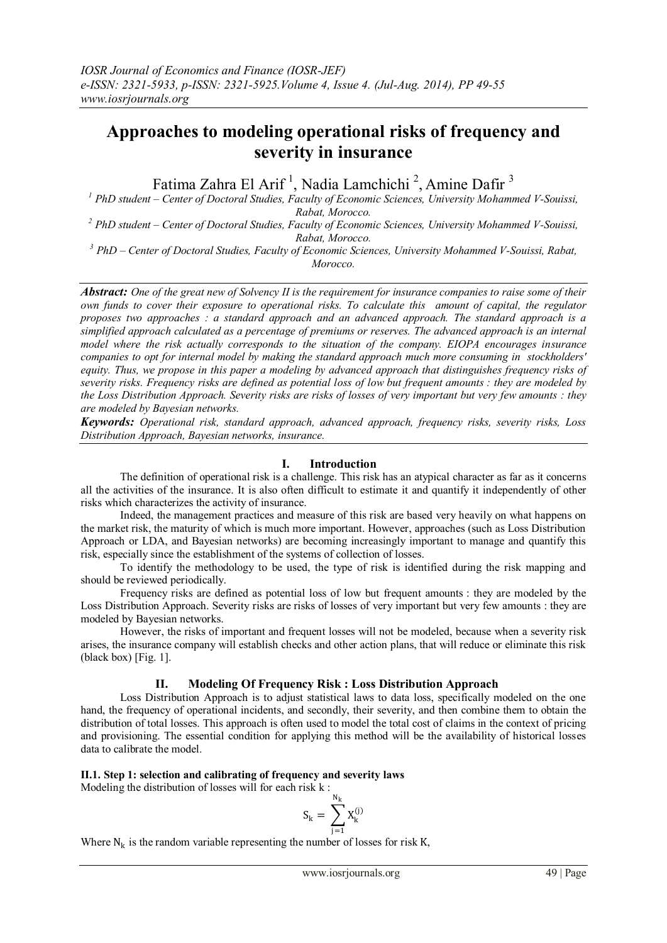# **Approaches to modeling operational risks of frequency and severity in insurance**

Fatima Zahra El Arif<sup>1</sup>, Nadia Lamchichi<sup>2</sup>, Amine Dafir<sup>3</sup>

*<sup>1</sup> PhD student – Center of Doctoral Studies, Faculty of Economic Sciences, University Mohammed V-Souissi, Rabat, Morocco.*

*<sup>2</sup> PhD student – Center of Doctoral Studies, Faculty of Economic Sciences, University Mohammed V-Souissi, Rabat, Morocco.*

*<sup>3</sup> PhD – Center of Doctoral Studies, Faculty of Economic Sciences, University Mohammed V-Souissi, Rabat, Morocco.*

*Abstract: One of the great new of Solvency II is the requirement for insurance companies to raise some of their own funds to cover their exposure to operational risks. To calculate this amount of capital, the regulator proposes two approaches : a standard approach and an advanced approach. The standard approach is a simplified approach calculated as a percentage of premiums or reserves. The advanced approach is an internal model where the risk actually corresponds to the situation of the company. EIOPA encourages insurance companies to opt for internal model by making the standard approach much more consuming in stockholders' equity. Thus, we propose in this paper a modeling by advanced approach that distinguishes frequency risks of severity risks. Frequency risks are defined as potential loss of low but frequent amounts : they are modeled by the Loss Distribution Approach. Severity risks are risks of losses of very important but very few amounts : they are modeled by Bayesian networks.*

*Keywords: Operational risk, standard approach, advanced approach, frequency risks, severity risks, Loss Distribution Approach, Bayesian networks, insurance.*

# **I. Introduction**

The definition of operational risk is a challenge. This risk has an atypical character as far as it concerns all the activities of the insurance. It is also often difficult to estimate it and quantify it independently of other risks which characterizes the activity of insurance.

Indeed, the management practices and measure of this risk are based very heavily on what happens on the market risk, the maturity of which is much more important. However, approaches (such as Loss Distribution Approach or LDA, and Bayesian networks) are becoming increasingly important to manage and quantify this risk, especially since the establishment of the systems of collection of losses.

To identify the methodology to be used, the type of risk is identified during the risk mapping and should be reviewed periodically.

Frequency risks are defined as potential loss of low but frequent amounts : they are modeled by the Loss Distribution Approach. Severity risks are risks of losses of very important but very few amounts : they are modeled by Bayesian networks.

However, the risks of important and frequent losses will not be modeled, because when a severity risk arises, the insurance company will establish checks and other action plans, that will reduce or eliminate this risk (black box) [Fig. 1].

# **II. Modeling Of Frequency Risk : Loss Distribution Approach**

Loss Distribution Approach is to adjust statistical laws to data loss, specifically modeled on the one hand, the frequency of operational incidents, and secondly, their severity, and then combine them to obtain the distribution of total losses. This approach is often used to model the total cost of claims in the context of pricing and provisioning. The essential condition for applying this method will be the availability of historical losses data to calibrate the model.

## **II.1. Step 1: selection and calibrating of frequency and severity laws**

Modeling the distribution of losses will for each risk k :

$$
S_k=\,\sum_{j=1}^{N_k}X_k^{(j)}
$$

Where  $N_k$  is the random variable representing the number of losses for risk K,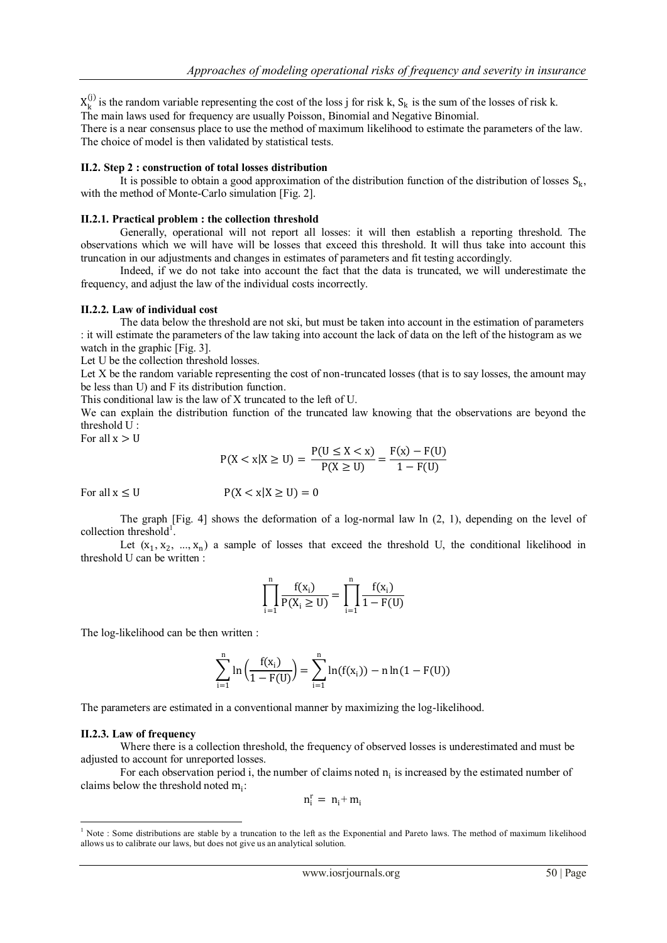$X_k^{(j)}$  is the random variable representing the cost of the loss j for risk k,  $S_k$  is the sum of the losses of risk k. The main laws used for frequency are usually Poisson, Binomial and Negative Binomial.

There is a near consensus place to use the method of maximum likelihood to estimate the parameters of the law. The choice of model is then validated by statistical tests.

### **II.2. Step 2 : construction of total losses distribution**

It is possible to obtain a good approximation of the distribution function of the distribution of losses  $S_k$ , with the method of Monte-Carlo simulation [Fig. 2].

#### **II.2.1. Practical problem : the collection threshold**

Generally, operational will not report all losses: it will then establish a reporting threshold. The observations which we will have will be losses that exceed this threshold. It will thus take into account this truncation in our adjustments and changes in estimates of parameters and fit testing accordingly.

Indeed, if we do not take into account the fact that the data is truncated, we will underestimate the frequency, and adjust the law of the individual costs incorrectly.

#### **II.2.2. Law of individual cost**

The data below the threshold are not ski, but must be taken into account in the estimation of parameters : it will estimate the parameters of the law taking into account the lack of data on the left of the histogram as we watch in the graphic [Fig. 3].

Let U be the collection threshold losses.

Let X be the random variable representing the cost of non-truncated losses (that is to say losses, the amount may be less than U) and F its distribution function.

This conditional law is the law of X truncated to the left of U.

We can explain the distribution function of the truncated law knowing that the observations are beyond the threshold U :

For all  $x > U$ 

$$
P(X < x | X \ge U) = \frac{P(U \le X < x)}{P(X \ge U)} = \frac{F(x) - F(U)}{1 - F(U)}
$$

For all  $x \leq U$   $P(X < x | X \geq U) = 0$ 

The graph  $[Fig. 4]$  shows the deformation of a log-normal law  $\ln(2, 1)$ , depending on the level of collection threshold<sup>1</sup>.

Let  $(x_1, x_2, ..., x_n)$  a sample of losses that exceed the threshold U, the conditional likelihood in threshold U can be written :

$$
\prod_{i=1}^n \frac{f(x_i)}{P(X_i \geq U)} = \prod_{i=1}^n \frac{f(x_i)}{1 - F(U)}
$$

The log-likelihood can be then written :

$$
\sum_{i=1}^{n} \ln \left( \frac{f(x_i)}{1-F(U)} \right) = \sum_{i=1}^{n} \ln (f(x_i)) - n \ln (1-F(U))
$$

The parameters are estimated in a conventional manner by maximizing the log-likelihood.

#### **II.2.3. Law of frequency**

Where there is a collection threshold, the frequency of observed losses is underestimated and must be adjusted to account for unreported losses.

For each observation period i, the number of claims noted  $n_i$  is increased by the estimated number of claims below the threshold noted  $m_i$ :

$$
n_i^r=\ n_i^+ \, m_i
$$

**<sup>.</sup>**  $<sup>1</sup>$  Note : Some distributions are stable by a truncation to the left as the Exponential and Pareto laws. The method of maximum likelihood</sup> allows us to calibrate our laws, but does not give us an analytical solution.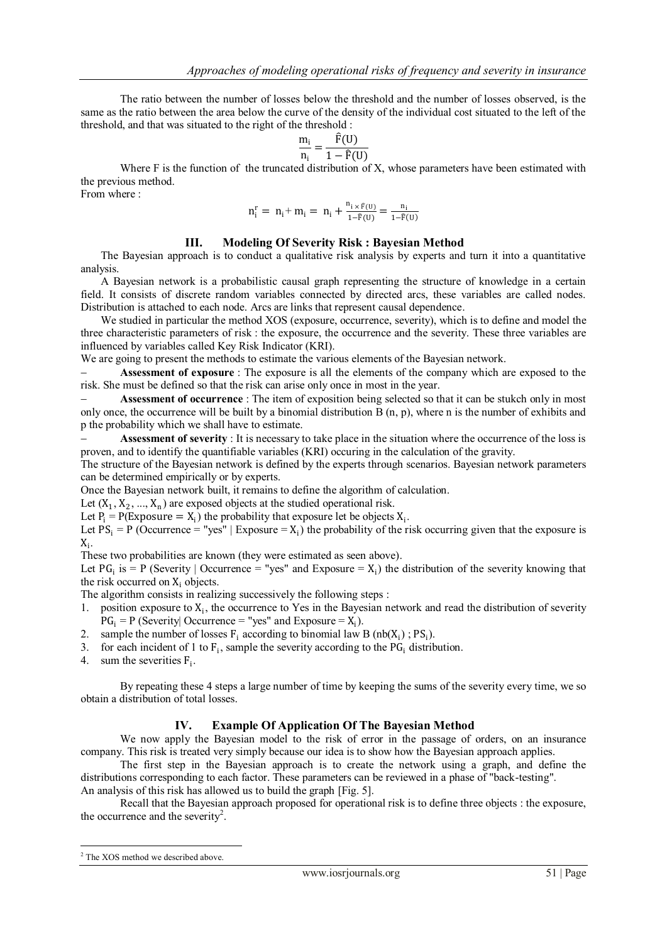The ratio between the number of losses below the threshold and the number of losses observed, is the same as the ratio between the area below the curve of the density of the individual cost situated to the left of the threshold, and that was situated to the right of the threshold :

$$
\frac{m_i}{n_i} = \frac{\hat{F}(U)}{1 - \hat{F}(U)}
$$

Where F is the function of the truncated distribution of X, whose parameters have been estimated with the previous method.

From where :

$$
n_i^r\,=\,\,n_i\hskip-2pt+n_i\hskip-2pt=n_i\hskip-2pt+\hskip-2pt\frac{n_{i\,\times\,\widehat{F}(U)}}{1\hskip-2pt-\hskip-2pt\widehat{F}(U)}\hskip-2pt=\hskip-2pt\frac{n_i}{1\hskip-2pt-\hskip-2pt\widehat{F}(U)}
$$

# **III. Modeling Of Severity Risk : Bayesian Method**

The Bayesian approach is to conduct a qualitative risk analysis by experts and turn it into a quantitative analysis.

A Bayesian network is a probabilistic causal graph representing the structure of knowledge in a certain field. It consists of discrete random variables connected by directed arcs, these variables are called nodes. Distribution is attached to each node. Arcs are links that represent causal dependence.

We studied in particular the method XOS (exposure, occurrence, severity), which is to define and model the three characteristic parameters of risk : the exposure, the occurrence and the severity. These three variables are influenced by variables called Key Risk Indicator (KRI).

We are going to present the methods to estimate the various elements of the Bayesian network.

 **Assessment of exposure** : The exposure is all the elements of the company which are exposed to the risk. She must be defined so that the risk can arise only once in most in the year.

 **Assessment of occurrence** : The item of exposition being selected so that it can be stukch only in most only once, the occurrence will be built by a binomial distribution B (n, p), where n is the number of exhibits and p the probability which we shall have to estimate.

 **Assessment of severity** : It is necessary to take place in the situation where the occurrence of the loss is proven, and to identify the quantifiable variables (KRI) occuring in the calculation of the gravity.

The structure of the Bayesian network is defined by the experts through scenarios. Bayesian network parameters can be determined empirically or by experts.

Once the Bayesian network built, it remains to define the algorithm of calculation.

Let  $(X_1, X_2, ..., X_n)$  are exposed objects at the studied operational risk.

Let  $P_i = P(\text{Exposure} = X_i)$  the probability that exposure let be objects  $X_i$ .

Let  $PS_i = P$  (Occurrence = "yes" | Exposure =  $X_i$ ) the probability of the risk occurring given that the exposure is  $X_i$ .

These two probabilities are known (they were estimated as seen above).

Let PG<sub>i</sub> is = P (Severity | Occurrence = "yes" and Exposure =  $X_i$ ) the distribution of the severity knowing that the risk occurred on  $X_i$  objects.

The algorithm consists in realizing successively the following steps :

- 1. position exposure to  $X_i$ , the occurrence to Yes in the Bayesian network and read the distribution of severity  $PG_i = P$  (Severity| Occurrence = "yes" and Exposure =  $X_i$ ).
- 2. sample the number of losses  $F_i$  according to binomial law B (nb( $X_i$ ); PS<sub>i</sub>).
- 3. for each incident of 1 to  $F_i$ , sample the severity according to the  $PG_i$  distribution.
- 4. sum the severities  $F_i$ .

By repeating these 4 steps a large number of time by keeping the sums of the severity every time, we so obtain a distribution of total losses.

# **IV. Example Of Application Of The Bayesian Method**

We now apply the Bayesian model to the risk of error in the passage of orders, on an insurance company. This risk is treated very simply because our idea is to show how the Bayesian approach applies.

The first step in the Bayesian approach is to create the network using a graph, and define the distributions corresponding to each factor. These parameters can be reviewed in a phase of "back-testing".

An analysis of this risk has allowed us to build the graph [Fig. 5].

Recall that the Bayesian approach proposed for operational risk is to define three objects : the exposure, the occurrence and the severity<sup>2</sup>.

1

<sup>&</sup>lt;sup>2</sup> The XOS method we described above.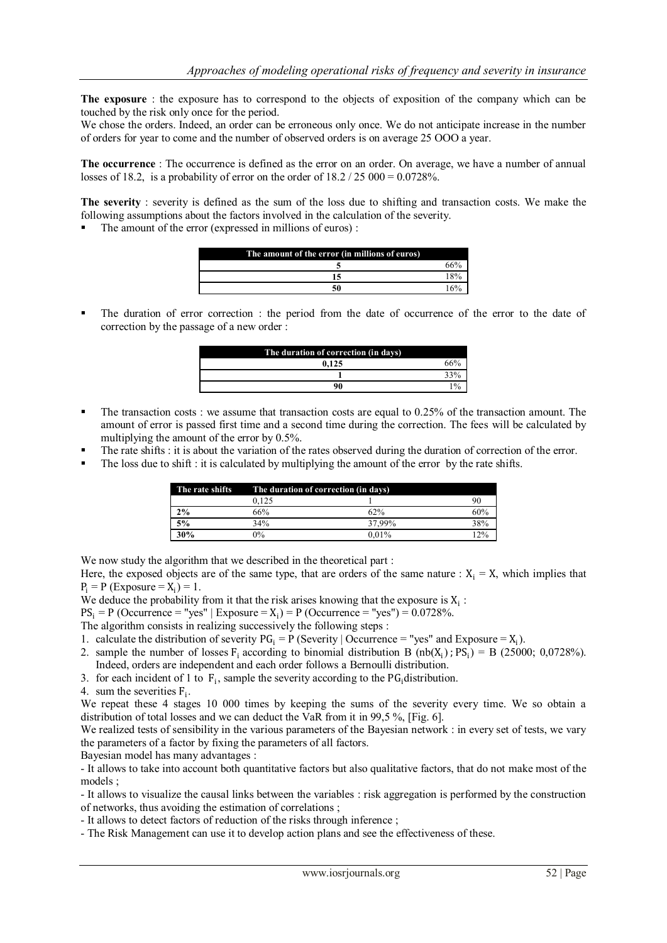**The exposure** : the exposure has to correspond to the objects of exposition of the company which can be touched by the risk only once for the period.

We chose the orders. Indeed, an order can be erroneous only once. We do not anticipate increase in the number of orders for year to come and the number of observed orders is on average 25 OOO a year.

**The occurrence** : The occurrence is defined as the error on an order. On average, we have a number of annual losses of 18.2, is a probability of error on the order of  $18.2 / 25\,000 = 0.0728\%$ .

**The severity** : severity is defined as the sum of the loss due to shifting and transaction costs. We make the following assumptions about the factors involved in the calculation of the severity.

The amount of the error (expressed in millions of euros) :

| The amount of the error (in millions of euros) |  |  |  |
|------------------------------------------------|--|--|--|
|                                                |  |  |  |
|                                                |  |  |  |
|                                                |  |  |  |

 The duration of error correction : the period from the date of occurrence of the error to the date of correction by the passage of a new order :

| The duration of correction (in days). |  |  |
|---------------------------------------|--|--|
| 0.125                                 |  |  |
|                                       |  |  |
| 90                                    |  |  |

- The transaction costs : we assume that transaction costs are equal to  $0.25\%$  of the transaction amount. The amount of error is passed first time and a second time during the correction. The fees will be calculated by multiplying the amount of the error by 0.5%.
- The rate shifts : it is about the variation of the rates observed during the duration of correction of the error.
- The loss due to shift : it is calculated by multiplying the amount of the error by the rate shifts.

| The rate shifts | The duration of correction (in days) |          |     |
|-----------------|--------------------------------------|----------|-----|
|                 | 0.125                                |          | 90  |
| 2%              | 66%                                  | 62%      | 60% |
| 5%              | 34%                                  | 37.99%   | 38% |
| 30%             | $2\%$                                | $0.01\%$ | 12% |

We now study the algorithm that we described in the theoretical part :

Here, the exposed objects are of the same type, that are orders of the same nature :  $X_i = X$ , which implies that  $P_i = P$  (Exposure =  $X_i$ ) = 1.

We deduce the probability from it that the risk arises knowing that the exposure is  $X_i$ :

 $PS_i = P$  (Occurrence = "yes" | Exposure =  $X_i$ ) = P (Occurrence = "yes") = 0.0728%.

The algorithm consists in realizing successively the following steps :

- 1. calculate the distribution of severity  $PG_i = P$  (Severity | Occurrence = "yes" and Exposure =  $X_i$ ).
- 2. sample the number of losses  $F_i$  according to binomial distribution B (nb(X<sub>i</sub>); PS<sub>i</sub>) = B (25000; 0,0728%). Indeed, orders are independent and each order follows a Bernoulli distribution.
- 3. for each incident of 1 to  $F_i$ , sample the severity according to the PG<sub>i</sub> distribution.

4. sum the severities  $F_i$ .

We repeat these 4 stages 10 000 times by keeping the sums of the severity every time. We so obtain a distribution of total losses and we can deduct the VaR from it in 99,5 %, [Fig. 6].

We realized tests of sensibility in the various parameters of the Bayesian network : in every set of tests, we vary the parameters of a factor by fixing the parameters of all factors.

Bayesian model has many advantages :

- It allows to take into account both quantitative factors but also qualitative factors, that do not make most of the models ;

- It allows to visualize the causal links between the variables : risk aggregation is performed by the construction of networks, thus avoiding the estimation of correlations ;

- It allows to detect factors of reduction of the risks through inference ;

- The Risk Management can use it to develop action plans and see the effectiveness of these.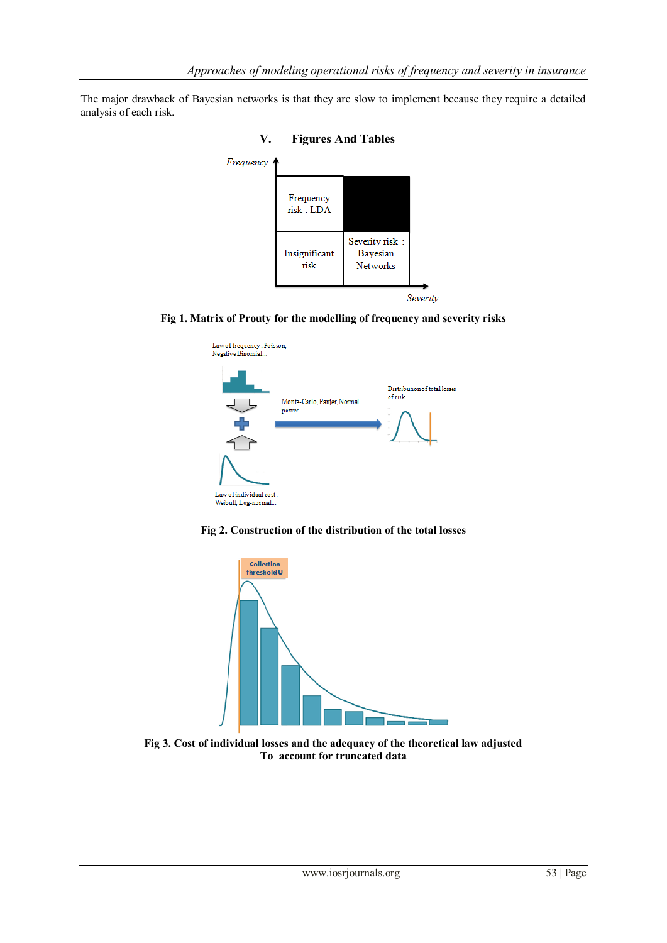The major drawback of Bayesian networks is that they are slow to implement because they require a detailed analysis of each risk.



**Fig 1. Matrix of Prouty for the modelling of frequency and severity risks**







**Fig 3. Cost of individual losses and the adequacy of the theoretical law adjusted To account for truncated data**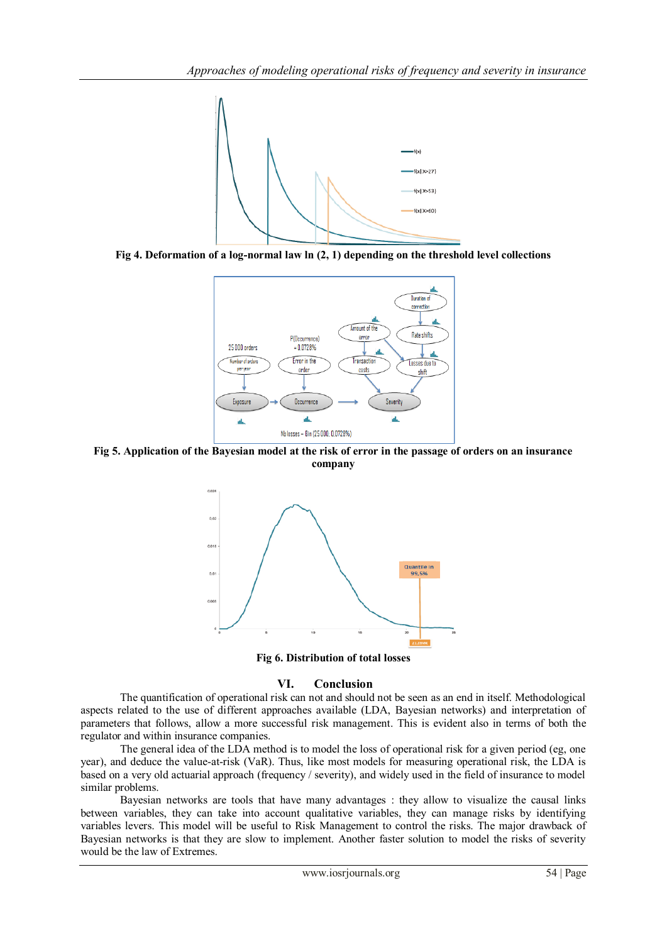

**Fig 4. Deformation of a log-normal law ln (2, 1) depending on the threshold level collections**



**Fig 5. Application of the Bayesian model at the risk of error in the passage of orders on an insurance company**



**Fig 6. Distribution of total losses** 

# **VI. Conclusion**

The quantification of operational risk can not and should not be seen as an end in itself. Methodological aspects related to the use of different approaches available (LDA, Bayesian networks) and interpretation of parameters that follows, allow a more successful risk management. This is evident also in terms of both the regulator and within insurance companies.

The general idea of the LDA method is to model the loss of operational risk for a given period (eg, one year), and deduce the value-at-risk (VaR). Thus, like most models for measuring operational risk, the LDA is based on a very old actuarial approach (frequency / severity), and widely used in the field of insurance to model similar problems.

Bayesian networks are tools that have many advantages : they allow to visualize the causal links between variables, they can take into account qualitative variables, they can manage risks by identifying variables levers. This model will be useful to Risk Management to control the risks. The major drawback of Bayesian networks is that they are slow to implement. Another faster solution to model the risks of severity would be the law of Extremes.